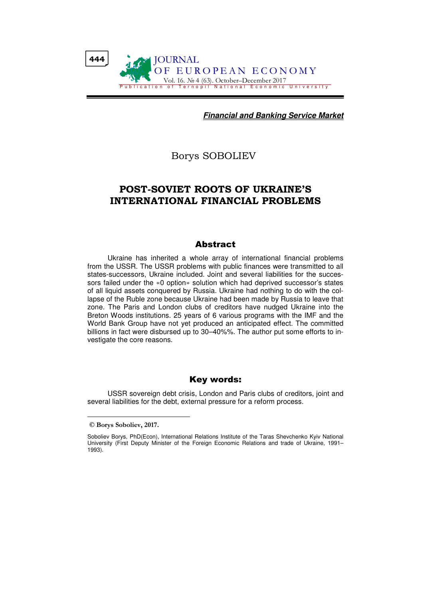

**Financial and Banking Service Market**

Borys SOBOLIEV

## POST-SOVIET ROOTS OF UKRAINE'S INTERNATIONAL FINANCIAL PROBLEMS

## Abstract

Ukraine has inherited a whole array of international financial problems from the USSR. The USSR problems with public finances were transmitted to all states-successors, Ukraine included. Joint and several liabilities for the successors failed under the «0 option» solution which had deprived successor's states of all liquid assets conquered by Russia. Ukraine had nothing to do with the collapse of the Ruble zone because Ukraine had been made by Russia to leave that zone. The Paris and London clubs of creditors have nudged Ukraine into the Breton Woods institutions. 25 years of 6 various programs with the IMF and the World Bank Group have not yet produced an anticipated effect. The committed billions in fact were disbursed up to 30–40%%. The author put some efforts to investigate the core reasons.

## Key words:

USSR sovereign debt crisis, London and Paris clubs of creditors, joint and several liabilities for the debt, external pressure for a reform process.

© Borys Soboliev, 2017.

Soboliev Borys, PhD(Econ), International Relations Institute of the Taras Shevchenko Kyiv National University (First Deputy Minister of the Foreign Economic Relations and trade of Ukraine, 1991– 1993).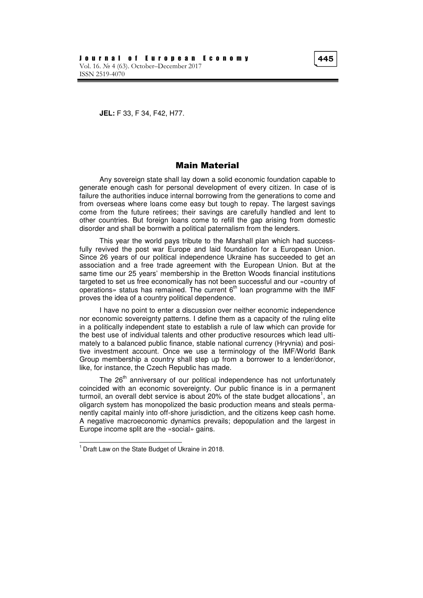**JEL:** F 33, F 34, F42, H77.

## Main Material

Any sovereign state shall lay down a solid economic foundation capable to generate enough cash for personal development of every citizen. In case of is failure the authorities induce internal borrowing from the generations to come and from overseas where loans come easy but tough to repay. The largest savings come from the future retirees; their savings are carefully handled and lent to other countries. But foreign loans come to refill the gap arising from domestic disorder and shall be bornwith a political paternalism from the lenders.

This year the world pays tribute to the Marshall plan which had successfully revived the post war Europe and laid foundation for a European Union. Since 26 years of our political independence Ukraine has succeeded to get an association and a free trade agreement with the European Union. But at the same time our 25 years' membership in the Bretton Woods financial institutions targeted to set us free economically has not been successful and our «country of operations» status has remained. The current  $6<sup>th</sup>$  loan programme with the IMF proves the idea of a country political dependence.

I have no point to enter a discussion over neither economic independence nor economic sovereignty patterns. I define them as a capacity of the ruling elite in a politically independent state to establish a rule of law which can provide for the best use of individual talents and other productive resources which lead ultimately to a balanced public finance, stable national currency (Hryvnia) and positive investment account. Once we use a terminology of the IMF/World Bank Group membership a country shall step up from a borrower to a lender/donor, like, for instance, the Czech Republic has made.

The 26<sup>th</sup> anniversary of our political independence has not unfortunately coincided with an economic sovereignty. Our public finance is in a permanent turmoil, an overall debt service is about 20% of the state budget allocations<sup>1</sup>, an oligarch system has monopolized the basic production means and steals permanently capital mainly into off-shore jurisdiction, and the citizens keep cash home. A negative macroeconomic dynamics prevails; depopulation and the largest in Europe income split are the «social» gains.

 $1$  Draft Law on the State Budget of Ukraine in 2018.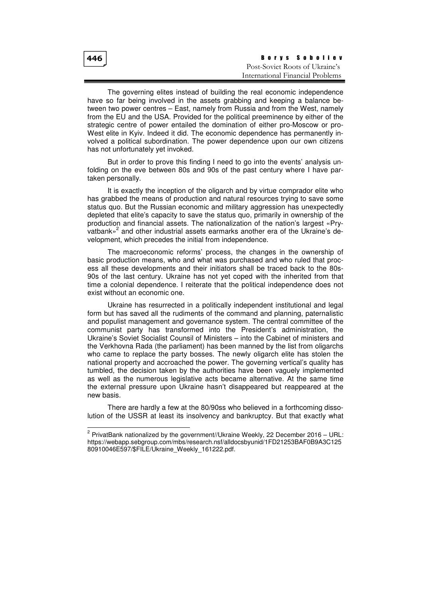| 446 | Borys Soboliev                   |
|-----|----------------------------------|
|     | Post-Soviet Roots of Ukraine's   |
|     | International Financial Problems |

The governing elites instead of building the real economic independence have so far being involved in the assets grabbing and keeping a balance between two power centres – East, namely from Russia and from the West, namely from the EU and the USA. Provided for the political preeminence by either of the strategic centre of power entailed the domination of either pro-Moscow or pro-West elite in Kyiv. Indeed it did. The economic dependence has permanently involved a political subordination. The power dependence upon our own citizens has not unfortunately yet invoked.

But in order to prove this finding I need to go into the events' analysis unfolding on the eve between 80s and 90s of the past century where I have partaken personally.

It is exactly the inception of the oligarch and by virtue comprador elite who has grabbed the means of production and natural resources trying to save some status quo. But the Russian economic and military aggression has unexpectedly depleted that elite's capacity to save the status quo, primarily in ownership of the production and financial assets. The nationalization of the nation's largest «Pry-.<br>vatbank»<sup>2</sup> and other industrial assets earmarks another era of the Ukraine's development, which precedes the initial from independence.

The macroeconomic reforms' process, the changes in the ownership of basic production means, who and what was purchased and who ruled that process all these developments and their initiators shall be traced back to the 80s-90s of the last century. Ukraine has not yet coped with the inherited from that time a colonial dependence. I reiterate that the political independence does not exist without an economic one.

Ukraine has resurrected in a politically independent institutional and legal form but has saved all the rudiments of the command and planning, paternalistic and populist management and governance system. The central committee of the communist party has transformed into the President's administration, the Ukraine's Soviet Socialist Counsil of Ministers – into the Cabinet of ministers and the Verkhovna Rada (the parliament) has been manned by the list from oligarchs who came to replace the party bosses. The newly oligarch elite has stolen the national property and accroached the power. The governing vertical's quality has tumbled, the decision taken by the authorities have been vaguely implemented as well as the numerous legislative acts became alternative. At the same time the external pressure upon Ukraine hasn't disappeared but reappeared at the new basis.

There are hardly a few at the 80/90ss who believed in a forthcoming dissolution of the USSR at least its insolvency and bankruptcy. But that exactly what

 $2$  PrivatBank nationalized by the government//Ukraine Weekly, 22 December 2016 – URL: https://webapp.sebgroup.com/mbs/research.nsf/alldocsbyunid/1FD21253BAF0B9A3C125 80910046E597/\$FILE/Ukraine\_Weekly\_161222.pdf.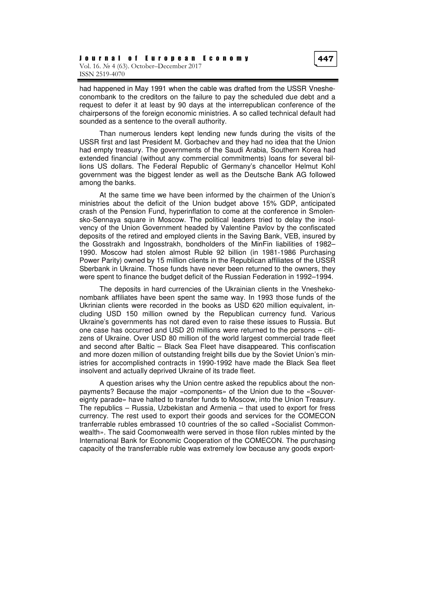had happened in May 1991 when the cable was drafted from the USSR Vnesheconombank to the creditors on the failure to pay the scheduled due debt and a request to defer it at least by 90 days at the interrepublican conference of the chairpersons of the foreign economic ministries. A so called technical default had sounded as a sentence to the overall authority.

Than numerous lenders kept lending new funds during the visits of the USSR first and last President M. Gorbachev and they had no idea that the Union had empty treasury. The governments of the Saudi Arabia, Southern Korea had extended financial (without any commercial commitments) loans for several billions US dollars. The Federal Republic of Germany's chancellor Helmut Kohl government was the biggest lender as well as the Deutsche Bank AG followed among the banks.

At the same time we have been informed by the chairmen of the Union's ministries about the deficit of the Union budget above 15% GDP, anticipated crash of the Pension Fund, hyperinflation to come at the conference in Smolensko-Sennaya square in Moscow. The political leaders tried to delay the insolvency of the Union Government headed by Valentine Pavlov by the confiscated deposits of the retired and employed clients in the Saving Bank, VEB, insured by the Gosstrakh and Ingosstrakh, bondholders of the MinFin liabilities of 1982– 1990. Moscow had stolen almost Ruble 92 billion (in 1981-1986 Purchasing Power Parity) owned by 15 million clients in the Republican affiliates of the USSR Sberbank in Ukraine. Those funds have never been returned to the owners, they were spent to finance the budget deficit of the Russian Federation in 1992–1994.

The deposits in hard currencies of the Ukrainian clients in the Vneshekonombank affiliates have been spent the same way. In 1993 those funds of the Ukrinian clients were recorded in the books as USD 620 million equivalent, including USD 150 million owned by the Republican currency fund. Various Ukraine's governments has not dared even to raise these issues to Russia. But one case has occurred and USD 20 millions were returned to the persons – citizens of Ukraine. Over USD 80 million of the world largest commercial trade fleet and second after Baltic – Black Sea Fleet have disappeared. This confiscation and more dozen million of outstanding freight bills due by the Soviet Union's ministries for accomplished contracts in 1990-1992 have made the Black Sea fleet insolvent and actually deprived Ukraine of its trade fleet.

A question arises why the Union centre asked the republics about the nonpayments? Because the major «components» of the Union due to the «Souvereignty parade» have halted to transfer funds to Moscow, into the Union Treasury. The republics – Russia, Uzbekistan and Armenia – that used to export for fress currency. The rest used to export their goods and services for the COMECON tranferrable rubles embrassed 10 countries of the so called «Socialist Commonwealth». The said Coomonwealth were served in those filon rubles minted by the International Bank for Economic Cooperation of the COMECON. The purchasing capacity of the transferrable ruble was extremely low because any goods export-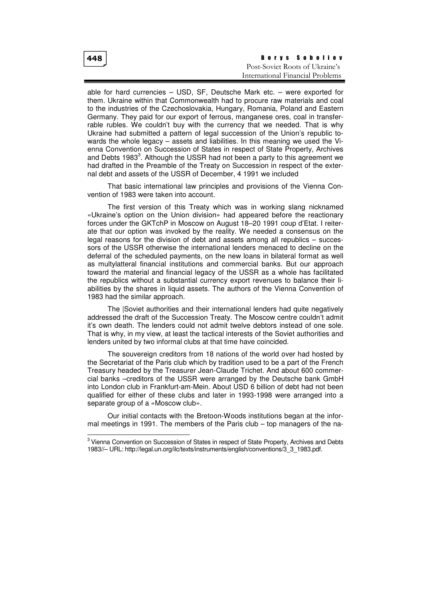| 448 | <b>Borys Soboliev</b>            |
|-----|----------------------------------|
|     | Post-Soviet Roots of Ukraine's   |
|     | International Financial Problems |

able for hard currencies – USD, SF, Deutsche Mark etc. – were exported for them. Ukraine within that Commonwealth had to procure raw materials and coal to the industries of the Czechoslovakia, Hungary, Romania, Poland and Eastern Germany. They paid for our export of ferrous, manganese ores, coal in transferrable rubles. We couldn't buy with the currency that we needed. That is why Ukraine had submitted a pattern of legal succession of the Union's republic towards the whole legacy – assets and liabilities. In this meaning we used the Vienna Convention on Succession of States in respect of State Property, Archives and Debts 1983<sup>3</sup>. Although the USSR had not been a party to this agreement we had drafted in the Preamble of the Treaty on Succession in respect of the external debt and assets of the USSR of December, 4 1991 we included

That basic international law principles and provisions of the Vienna Convention of 1983 were taken into account.

The first version of this Treaty which was in working slang nicknamed «Ukraine's option on the Union division» had appeared before the reactionary forces under the GKTchP in Moscow on August 18–20 1991 coup d'Etat. I reiterate that our option was invoked by the reality. We needed a consensus on the legal reasons for the division of debt and assets among all republics – successors of the USSR otherwise the international lenders menaced to decline on the deferral of the scheduled payments, on the new loans in bilateral format as well as multylatteral financial institutions and commercial banks. But our approach toward the material and financial legacy of the USSR as a whole has facilitated the republics without a substantial currency export revenues to balance their liabilities by the shares in liquid assets. The authors of the Vienna Convention of 1983 had the similar approach.

The |Soviet authorities and their international lenders had quite negatively addressed the draft of the Succession Treaty. The Moscow centre couldn't admit it's own death. The lenders could not admit twelve debtors instead of one sole. That is why, in my view, at least the tactical interests of the Soviet authorities and lenders united by two informal clubs at that time have coincided.

The souvereign creditors from 18 nations of the world over had hosted by the Secretariat of the Paris club which by tradition used to be a part of the French Treasury headed by the Treasurer Jean-Claude Trichet. And about 600 commercial banks –creditors of the USSR were arranged by the Deutsche bank GmbH into London club in Frankfurt-am-Mein. About USD 6 billion of debt had not been qualified for either of these clubs and later in 1993-1998 were arranged into a separate group of a «Moscow club».

Our initial contacts with the Bretoon-Woods institutions began at the informal meetings in 1991. The members of the Paris club – top managers of the na-

<sup>&</sup>lt;sup>3</sup> Vienna Convention on Succession of States in respect of State Property, Archives and Debts 1983//– URL: http://legal.un.org/ilc/texts/instruments/english/conventions/3\_3\_1983.pdf.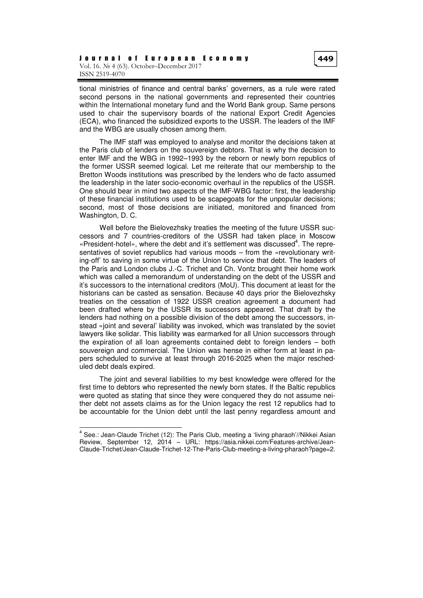tional ministries of finance and central banks' governers, as a rule were rated second persons in the national governments and represented their countries within the International monetary fund and the World Bank group. Same persons used to chair the supervisory boards of the national Export Credit Agencies (ECA), who financed the subsidized exports to the USSR. The leaders of the IMF and the WBG are usually chosen among them.

The IMF staff was employed to analyse and monitor the decisions taken at the Paris club of lenders on the souvereign debtors. That is why the decision to enter IMF and the WBG in 1992–1993 by the reborn or newly born republics of the former USSR seemed logical. Let me reiterate that our membership to the Bretton Woods institutions was prescribed by the lenders who de facto assumed the leadership in the later socio-economic overhaul in the republics of the USSR. One should bear in mind two aspects of the IMF-WBG factor: first, the leadership of these financial institutions used to be scapegoats for the unpopular decisions; second, most of those decisions are initiated, monitored and financed from Washington, D. C.

Well before the Bielovezhsky treaties the meeting of the future USSR successors and 7 countries-creditors of the USSR had taken place in Moscow «President-hotel», where the debt and it's settlement was discussed<sup>4</sup>. The representatives of soviet republics had various moods – from the «revolutionary writing-off' to saving in some virtue of the Union to service that debt. The leaders of the Paris and London clubs J.-C. Trichet and Ch. Vontz brought their home work which was called a memorandum of understanding on the debt of the USSR and it's successors to the international creditors (MoU). This document at least for the historians can be casted as sensation. Because 40 days prior the Bielovezhsky treaties on the cessation of 1922 USSR creation agreement a document had been drafted where by the USSR its successors appeared. That draft by the lenders had nothing on a possible division of the debt among the successors, instead «joint and several' liability was invoked, which was translated by the soviet lawyers like solidar. This liability was earmarked for all Union successors through the expiration of all loan agreements contained debt to foreign lenders – both souvereign and commercial. The Union was hense in either form at least in papers scheduled to survive at least through 2016-2025 when the major rescheduled debt deals expired.

The joint and several liabilities to my best knowledge were offered for the first time to debtors who represented the newly born states. If the Baltic republics were quoted as stating that since they were conquered they do not assume neither debt not assets claims as for the Union legacy the rest 12 republics had to be accountable for the Union debt until the last penny regardless amount and

 4 See.: Jean-Claude Trichet (12): The Paris Club, meeting a 'living pharaoh'//Nikkei Asian Review, September 12, 2014 – URL: https://asia.nikkei.com/Features-archive/Jean-Claude-Trichet/Jean-Claude-Trichet-12-The-Paris-Club-meeting-a-living-pharaoh?page=2.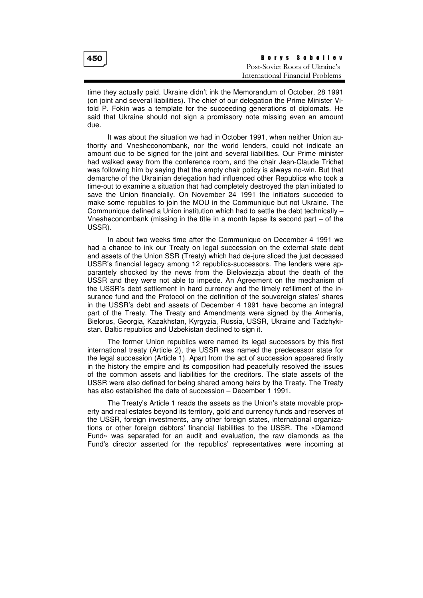| 450 | Borys Soboliev                   |
|-----|----------------------------------|
|     | Post-Soviet Roots of Ukraine's   |
|     | International Financial Problems |

time they actually paid. Ukraine didn't ink the Memorandum of October, 28 1991 (on joint and several liabilities). The chief of our delegation the Prime Minister Vitold P. Fokin was a template for the succeeding generations of diplomats. He said that Ukraine should not sign a promissory note missing even an amount due.

It was about the situation we had in October 1991, when neither Union authority and Vnesheconombank, nor the world lenders, could not indicate an amount due to be signed for the joint and several liabilities. Our Prime minister had walked away from the conference room, and the chair Jean-Claude Trichet was following him by saying that the empty chair policy is always no-win. But that demarche of the Ukrainian delegation had influenced other Republics who took a time-out to examine a situation that had completely destroyed the plan initiated to save the Union financially. On November 24 1991 the initiators succeded to make some republics to join the MOU in the Communique but not Ukraine. The Communique defined a Union institution which had to settle the debt technically – Vnesheconombank (missing in the title in a month lapse its second part  $-$  of the USSR).

In about two weeks time after the Communique on December 4 1991 we had a chance to ink our Treaty on legal succession on the external state debt and assets of the Union SSR (Treaty) which had de-jure sliced the just deceased USSR's financial legacy among 12 republics-successors. The lenders were apparantely shocked by the news from the Bieloviezzja about the death of the USSR and they were not able to impede. An Agreement on the mechanism of the USSR's debt settlement in hard currency and the timely refillment of the insurance fund and the Protocol on the definition of the souvereign states' shares in the USSR's debt and assets of December 4 1991 have become an integral part of the Treaty. The Treaty and Amendments were signed by the Armenia, Bielorus, Georgia, Kazakhstan, Kyrgyzia, Russia, USSR, Ukraine and Tadzhykistan. Baltic republics and Uzbekistan declined to sign it.

The former Union republics were named its legal successors by this first international treaty (Article 2), the USSR was named the predecessor state for the legal succession (Article 1). Apart from the act of succession appeared firstly in the history the empire and its composition had peacefully resolved the issues of the common assets and liabilities for the creditors. The state assets of the USSR were also defined for being shared among heirs by the Treaty. The Treaty has also established the date of succession – December 1 1991.

The Treaty's Article 1 reads the assets as the Union's state movable property and real estates beyond its territory, gold and currency funds and reserves of the USSR, foreign investments, any other foreign states, international organizations or other foreign debtors' financial liabilities to the USSR. The «Diamond Fund» was separated for an audit and evaluation, the raw diamonds as the Fund's director asserted for the republics' representatives were incoming at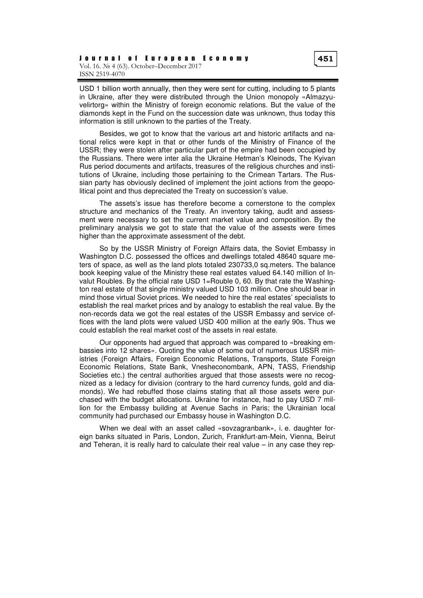USD 1 billion worth annually, then they were sent for cutting, including to 5 plants in Ukraine, after they were distributed through the Union monopoly «Almazyuvelirtorg» within the Ministry of foreign economic relations. But the value of the diamonds kept in the Fund on the succession date was unknown, thus today this information is still unknown to the parties of the Treaty.

Besides, we got to know that the various art and historic artifacts and national relics were kept in that or other funds of the Ministry of Finance of the USSR; they were stolen after particular part of the empire had been occupied by the Russians. There were inter alia the Ukraine Hetman's Kleinods, The Kyivan Rus period documents and artifacts, treasures of the religious churches and institutions of Ukraine, including those pertaining to the Crimean Tartars. The Russian party has obviously declined of implement the joint actions from the geopolitical point and thus depreciated the Treaty on succession's value.

The assets's issue has therefore become a cornerstone to the complex structure and mechanics of the Treaty. An inventory taking, audit and assessment were necessary to set the current market value and composition. By the preliminary analysis we got to state that the value of the assests were times higher than the approximate assessment of the debt.

So by the USSR Ministry of Foreign Affairs data, the Soviet Embassy in Washington D.C. possessed the offices and dwellings totaled 48640 square meters of space, as well as the land plots totaled 230733,0 sq.meters. The balance book keeping value of the Ministry these real estates valued 64.140 million of Invalut Roubles. By the official rate USD 1=Rouble 0, 60. By that rate the Washington real estate of that single ministry valued USD 103 million. One should bear in mind those virtual Soviet prices. We needed to hire the real estates' specialists to establish the real market prices and by analogy to establish the real value. By the non-records data we got the real estates of the USSR Embassy and service offices with the land plots were valued USD 400 million at the early 90s. Thus we could establish the real market cost of the assets in real estate.

Our opponents had argued that approach was compared to «breaking embassies into 12 shares». Quoting the value of some out of numerous USSR ministries (Foreign Affairs, Foreign Economic Relations, Transports, State Foreign Economic Relations, State Bank, Vnesheconombank, APN, TASS, Friendship Societies etc.) the central authorities argued that those assests were no recognized as a ledacy for division (contrary to the hard currency funds, gold and diamonds). We had rebuffed those claims stating that all those assets were purchased with the budget allocations. Ukraine for instance, had to pay USD 7 million for the Embassy building at Avenue Sachs in Paris; the Ukrainian local community had purchased our Embassy house in Washington D.C.

When we deal with an asset called «sovzagranbank», i. e. daughter foreign banks situated in Paris, London, Zurich, Frankfurt-am-Mein, Vienna, Beirut and Teheran, it is really hard to calculate their real value  $-$  in any case they rep-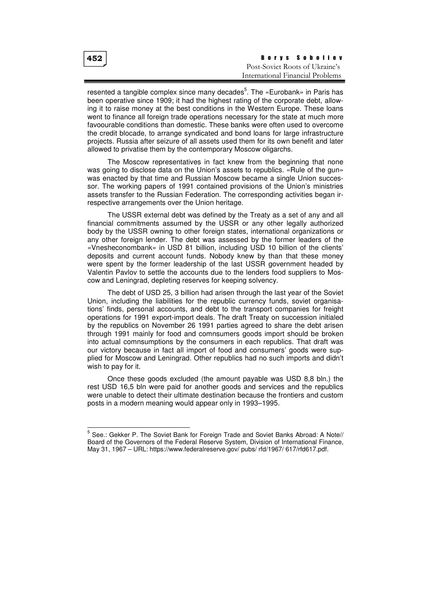| 452 | <b>Borys Soboliev</b>            |
|-----|----------------------------------|
|     | Post-Soviet Roots of Ukraine's   |
|     | International Financial Problems |

resented a tangible complex since many decades<sup>5</sup>. The «Eurobank» in Paris has been operative since 1909; it had the highest rating of the corporate debt, allowing it to raise money at the best conditions in the Western Europe. These loans went to finance all foreign trade operations necessary for the state at much more favoourable conditions than domestic. These banks were often used to overcome the credit blocade, to arrange syndicated and bond loans for large infrastructure projects. Russia after seizure of all assets used them for its own benefit and later allowed to privatise them by the contemporary Moscow oligarchs.

The Moscow representatives in fact knew from the beginning that none was going to disclose data on the Union's assets to republics. «Rule of the gun» was enacted by that time and Russian Moscow became a single Union successor. The working papers of 1991 contained provisions of the Union's ministries assets transfer to the Russian Federation. The corresponding activities began irrespective arrangements over the Union heritage.

The USSR external debt was defined by the Treaty as a set of any and all financial commitments assumed by the USSR or any other legally authorized body by the USSR owning to other foreign states, international organizations or any other foreign lender. The debt was assessed by the former leaders of the «Vnesheconombank» in USD 81 billion, including USD 10 billion of the clients' deposits and current account funds. Nobody knew by than that these money were spent by the former leadership of the last USSR government headed by Valentin Pavlov to settle the accounts due to the lenders food suppliers to Moscow and Leningrad, depleting reserves for keeping solvency.

The debt of USD 25, 3 billion had arisen through the last year of the Soviet Union, including the liabilities for the republic currency funds, soviet organisations' finds, personal accounts, and debt to the transport companies for freight operations for 1991 export-import deals. The draft Treaty on succession initialed by the republics on November 26 1991 parties agreed to share the debt arisen through 1991 mainly for food and comnsumers goods import should be broken into actual comnsumptions by the consumers in each republics. That draft was our victory because in fact all import of food and consumers' goods were supplied for Moscow and Leningrad. Other republics had no such imports and didn't wish to pay for it.

Once these goods excluded (the amount payable was USD 8,8 bln.) the rest USD 16,5 bln were paid for another goods and services and the republics were unable to detect their ultimate destination because the frontiers and custom posts in a modern meaning would appear only in 1993–1995.

<sup>&</sup>lt;sup>5</sup> See.: Gekker P. The Soviet Bank for Foreign Trade and Soviet Banks Abroad: A Note// Board of the Governors of the Federal Reserve System, Division of International Finance, May 31, 1967 – URL: https://www.federalreserve.gov/ pubs/ rfd/1967/ 617/rfd617.pdf.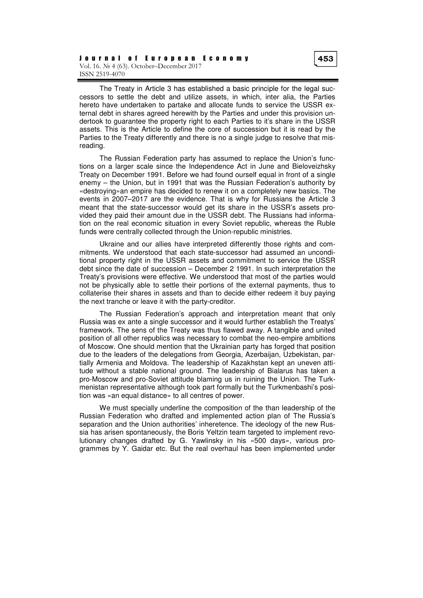The Treaty in Article 3 has established a basic principle for the legal successors to settle the debt and utilize assets, in which, inter alia, the Parties hereto have undertaken to partake and allocate funds to service the USSR external debt in shares agreed herewith by the Parties and under this provision undertook to guarantee the property right to each Parties to it's share in the USSR assets. This is the Article to define the core of succession but it is read by the Parties to the Treaty differently and there is no a single judge to resolve that misreading.

The Russian Federation party has assumed to replace the Union's functions on a larger scale since the Independence Act in June and Bieloveizhsky Treaty on December 1991. Before we had found ourself equal in front of a single enemy – the Union, but in 1991 that was the Russian Federation's authority by «destroying»an empire has decided to renew it on a completely new basics. The events in 2007–2017 are the evidence. That is why for Russians the Article 3 meant that the state-successor would get its share in the USSR's assets provided they paid their amount due in the USSR debt. The Russians had information on the real economic situation in every Soviet republic, whereas the Ruble funds were centrally collected through the Union-republic ministries.

Ukraine and our allies have interpreted differently those rights and commitments. We understood that each state-successor had assumed an unconditional property right in the USSR assets and commitment to service the USSR debt since the date of succession – December 2 1991. In such interpretation the Treaty's provisions were effective. We understood that most of the parties would not be physically able to settle their portions of the external payments, thus to collaterise their shares in assets and than to decide either redeem it buy paying the next tranche or leave it with the party-creditor.

The Russian Federation's approach and interpretation meant that only Russia was ex ante a single successor and it would further establish the Treatys' framework. The sens of the Treaty was thus flawed away. A tangible and united position of all other republics was necessary to combat the neo-empire ambitions of Moscow. One should mention that the Ukrainian party has forged that position due to the leaders of the delegations from Georgia, Azerbaijan, Uzbekistan, partially Armenia and Moldova. The leadership of Kazakhstan kept an uneven attitude without a stable national ground. The leadership of Bialarus has taken a pro-Moscow and pro-Soviet attitude blaming us in ruining the Union. The Turkmenistan representative although took part formally but the Turkmenbashi's position was «an equal distance» to all centres of power.

We must specially underline the composition of the than leadership of the Russian Federation who drafted and implemented action plan of The Russia's separation and the Union authorities' inheretence. The ideology of the new Russia has arisen spontaneously, the Boris Yeltzin team targeted to implement revolutionary changes drafted by G. Yawlinsky in his «500 days», various programmes by Y. Gaidar etc. But the real overhaul has been implemented under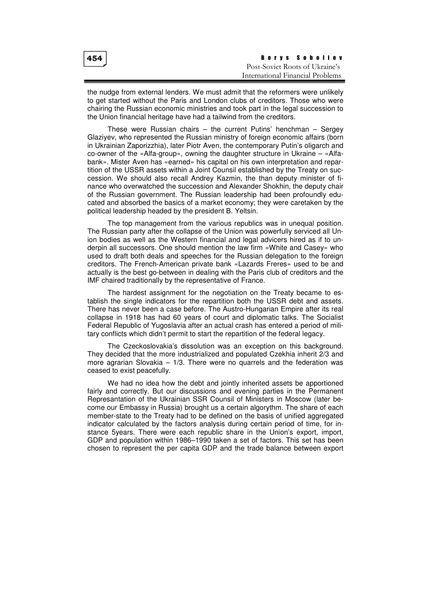| 454 | <b>Borys Soboliev</b>            |
|-----|----------------------------------|
|     | Post-Soviet Roots of Ukraine's   |
|     | International Financial Problems |

the nudge from external lenders. We must admit that the reformers were unlikely to get started without the Paris and London clubs of creditors. Those who were chairing the Russian economic ministries and took part in the legal succession to the Union financial heritage have had a tailwind from the creditors.

These were Russian chairs – the current Putins' henchman – Sergey Glaziyev, who represented the Russian ministry of foreign economic affairs (born in Ukrainian Zaporizzhia), later Piotr Aven, the contemporary Putin's oligarch and co-owner of the «Alfa-group», owning the daughter structure in Ukraine – «Alfabank». Mister Aven has «earned» his capital on his own interpretation and repartition of the USSR assets within a Joint Counsil established by the Treaty on succession. We should also recall Andrey Kazmin, the than deputy minister of finance who overwatched the succession and Alexander Shokhin, the deputy chair of the Russian government. The Russian leadership had been profoundly educated and absorbed the basics of a market economy; they were caretaken by the political leadership headed by the president B. Yeltsin.

The top management from the various republics was in unequal position. The Russian party after the collapse of the Union was powerfully serviced all Union bodies as well as the Western financial and legal advicers hired as if to underpin all successors. One should mention the law firm «White and Casey» who used to draft both deals and speeches for the Russian delegation to the foreign creditors. The French-American private bank «Lazards Freres» used to be and actually is the best go-between in dealing with the Paris club of creditors and the IMF chaired traditionally by the representative of France.

The hardest assignment for the negotiation on the Treaty became to establish the single indicators for the repartition both the USSR debt and assets. There has never been a case before. The Austro-Hungarian Empire after its real collapse in 1918 has had 60 years of court and diplomatic talks. The Socialist Federal Republic of Yugoslavia after an actual crash has entered a period of military conflicts which didn't permit to start the repartition of the federal legacy.

The Czeckoslovakia's dissolution was an exception on this background. They decided that the more industrialized and populated Czekhia inherit 2/3 and more agrarian Slovakia – 1/3. There were no quarrels and the federation was ceased to exist peacefully.

We had no idea how the debt and jointly inherited assets be apportioned fairly and correctly. But our discussions and evening parties in the Permanent Represantation of the Ukrainian SSR Counsil of Ministers in Moscow (later become our Embassy in Russia) brought us a certain algorythm. The share of each member-state to the Treaty had to be defined on the basis of unified aggregated indicator calculated by the factors analysis during certain period of time, for instance 5years. There were each republic share in the Union's export, import, GDP and population within 1986–1990 taken a set of factors. This set has been chosen to represent the per capita GDP and the trade balance between export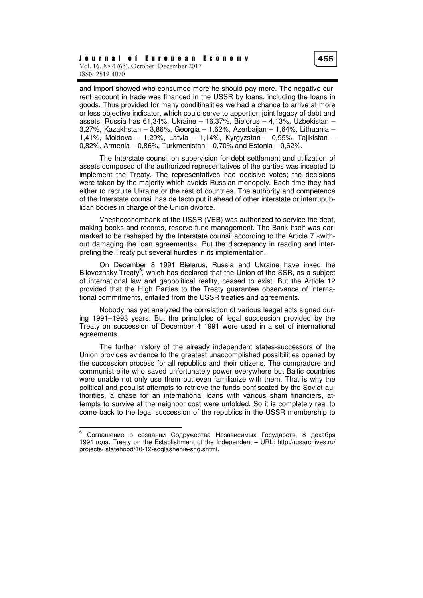and import showed who consumed more he should pay more. The negative current account in trade was financed in the USSR by loans, including the loans in goods. Thus provided for many conditinalities we had a chance to arrive at more or less objective indicator, which could serve to apportion joint legacy of debt and assets. Russia has 61,34%, Ukraine – 16,37%, Bielorus – 4,13%, Uzbekistan – 3,27%, Kazakhstan – 3,86%, Georgia – 1,62%, Azerbaijan – 1,64%, Lithuania – 1,41%, Moldova – 1,29%, Latvia – 1,14%, Kyrgyzstan – 0,95%, Tajikistan – 0,82%, Armenia – 0,86%, Turkmenistan – 0,70% and Estonia – 0,62%.

The Interstate counsil on supervision for debt settlement and utilization of assets composed of the authorized representatives of the parties was incepted to implement the Treaty. The representatives had decisive votes; the decisions were taken by the majority which avoids Russian monopoly. Each time they had either to recruite Ukraine or the rest of countries. The authority and competence of the Interstate counsil has de facto put it ahead of other interstate or interrupublican bodies in charge of the Union divorce.

Vnesheconombank of the USSR (VEB) was authorized to service the debt, making books and records, reserve fund management. The Bank itself was earmarked to be reshaped by the Interstate counsil according to the Article 7 «without damaging the loan agreements». But the discrepancy in reading and interpreting the Treaty put several hurdles in its implementation.

On December 8 1991 Bielarus, Russia and Ukraine have inked the Bilovezhsky Treaty<sup>6</sup>, which has declared that the Union of the SSR, as a subject of international law and geopolitical reality, ceased to exist. But the Article 12 provided that the High Parties to the Treaty guarantee observance of international commitments, entailed from the USSR treaties and agreements.

Nobody has yet analyzed the correlation of various leagal acts signed during 1991–1993 years. But the princilples of legal succession provided by the Treaty on succession of December 4 1991 were used in a set of international agreements.

The further history of the already independent states-successors of the Union provides evidence to the greatest unaccomplished possibilities opened by the succession process for all republics and their citizens. The compradore and communist elite who saved unfortunately power everywhere but Baltic countries were unable not only use them but even familiarize with them. That is why the political and populist attempts to retrieve the funds confiscated by the Soviet authorities, a chase for an international loans with various sham financiers, attempts to survive at the neighbor cost were unfolded. So it is completely real to come back to the legal succession of the republics in the USSR membership to

<sup>6</sup> Соглашение о создании Содружества Независимых Государств, 8 декабря 1991 года. Treaty on the Establishment of the Independent – URL: http://rusarchives.ru/ projects/ statehood/10-12-soglashenie-sng.shtml.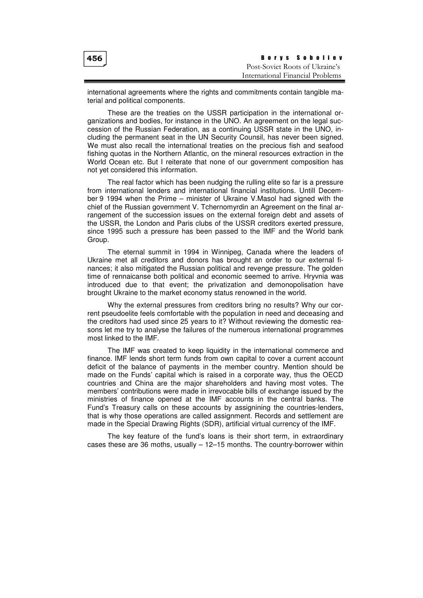| 456 | <b>Borys Soboliev</b>            |
|-----|----------------------------------|
|     | Post-Soviet Roots of Ukraine's   |
|     | International Financial Problems |

international agreements where the rights and commitments contain tangible material and political components.

These are the treaties on the USSR participation in the international organizations and bodies, for instance in the UNO. An agreement on the legal succession of the Russian Federation, as a continuing USSR state in the UNO, including the permanent seat in the UN Security Counsil, has never been signed. We must also recall the international treaties on the precious fish and seafood fishing quotas in the Northern Atlantic, on the mineral resources extraction in the World Ocean etc. But I reiterate that none of our government composition has not yet considered this information.

The real factor which has been nudging the rulling elite so far is a pressure from international lenders and international financial institutions. Untill December 9 1994 when the Prime – minister of Ukraine V.Masol had signed with the chief of the Russian government V. Tchernomyrdin an Agreement on the final arrangement of the succession issues on the external foreign debt and assets of the USSR, the London and Paris clubs of the USSR creditors exerted pressure, since 1995 such a pressure has been passed to the IMF and the World bank Group.

The eternal summit in 1994 in Winnipeg, Canada where the leaders of Ukraine met all creditors and donors has brought an order to our external finances; it also mitigated the Russian political and revenge pressure. The golden time of rennaicanse both political and economic seemed to arrive. Hryvnia was introduced due to that event; the privatization and demonopolisation have brought Ukraine to the market economy status renowned in the world.

Why the external pressures from creditors bring no results? Why our corrent pseudoelite feels comfortable with the population in need and deceasing and the creditors had used since 25 years to it? Without reviewing the domestic reasons let me try to analyse the failures of the numerous international programmes most linked to the IMF.

The IMF was created to keep liquidity in the international commerce and finance. IMF lends short term funds from own capital to cover a current account deficit of the balance of payments in the member country. Mention should be made on the Funds' capital which is raised in a corporate way, thus the OECD countries and China are the major shareholders and having most votes. The members' contributions were made in irrevocable bills of exchange issued by the ministries of finance opened at the IMF accounts in the central banks. The Fund's Treasury calls on these accounts by assignining the countries-lenders, that is why those operations are called assignment. Records and settlement are made in the Special Drawing Rights (SDR), artificial virtual currency of the IMF.

The key feature of the fund's loans is their short term, in extraordinary cases these are 36 moths, usually – 12–15 months. The country-borrower within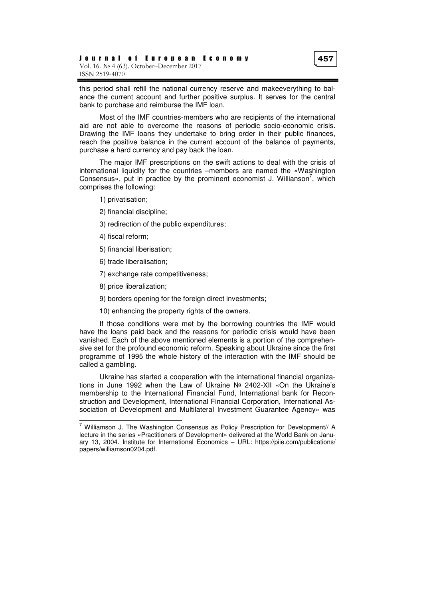this period shall refill the national currency reserve and makeeverything to balance the current account and further positive surplus. It serves for the central bank to purchase and reimburse the IMF loan.

Most of the IMF countries-members who are recipients of the international aid are not able to overcome the reasons of periodic socio-economic crisis. Drawing the IMF loans they undertake to bring order in their public finances, reach the positive balance in the current account of the balance of payments, purchase a hard currency and pay back the loan.

The major IMF prescriptions on the swift actions to deal with the crisis of international liquidity for the countries –members are named the «Washington Consensus», put in practice by the prominent economist J. Willianson<sup>7</sup>, which comprises the following:

- 1) privatisation;
- 2) financial discipline;
- 3) redirection of the public expenditures;
- 4) fiscal reform;
- 5) financial liberisation;
- 6) trade liberalisation;
- 7) exchange rate competitiveness;
- 8) price liberalization;

 $\overline{a}$ 

- 9) borders opening for the foreign direct investments;
- 10) enhancing the property rights of the owners.

If those conditions were met by the borrowing countries the IMF would have the loans paid back and the reasons for periodic crisis would have been vanished. Each of the above mentioned elements is a portion of the comprehensive set for the profound economic reform. Speaking about Ukraine since the first programme of 1995 the whole history of the interaction with the IMF should be called a gambling.

Ukraine has started a cooperation with the international financial organizations in June 1992 when the Law of Ukraine № 2402-ХІІ «On the Ukraine's membership to the International Financial Fund, International bank for Reconstruction and Development, International Financial Corporation, International Association of Development and Multilateral Investment Guarantee Agency» was

<sup>&</sup>lt;sup>7</sup> Williamson J. The Washington Consensus as Policy Prescription for Development// A lecture in the series «Practitioners of Development» delivered at the World Bank on January 13, 2004. Institute for International Economics – URL: https://piie.com/publications/ papers/williamson0204.pdf.